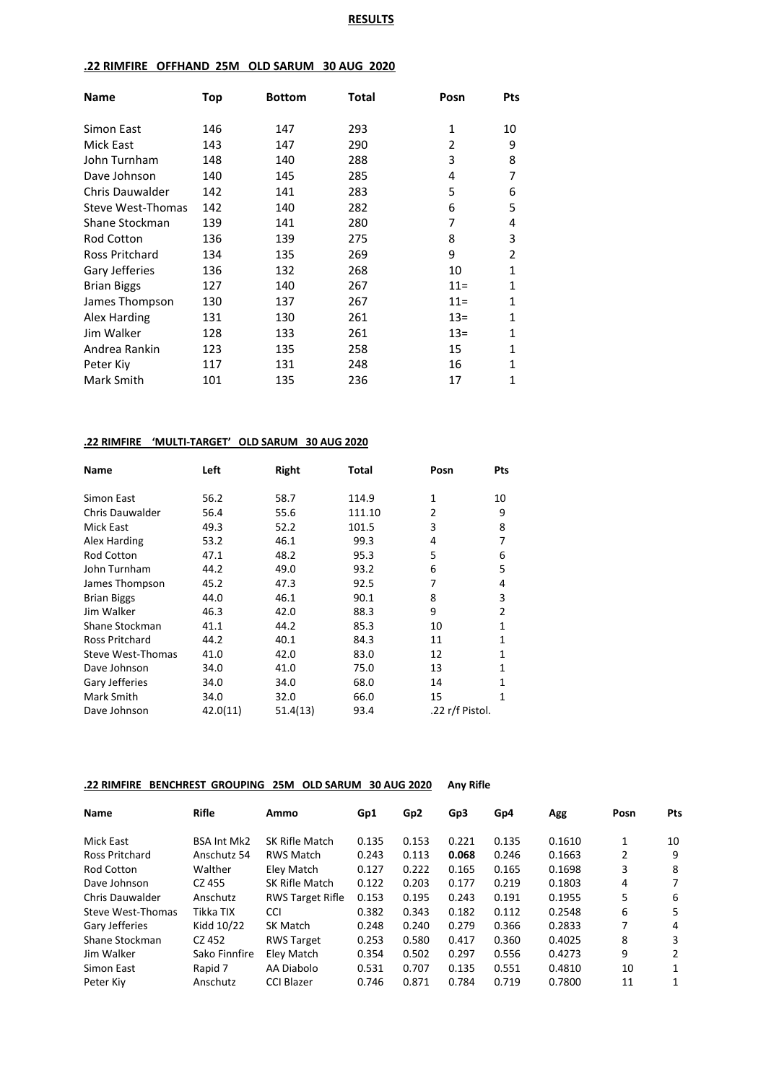# **RESULTS**

# **.22 RIMFIRE OFFHAND 25M OLD SARUM 30 AUG 2020**

| <b>Name</b>            | Top | <b>Bottom</b> | Total | Posn   | <b>Pts</b>     |
|------------------------|-----|---------------|-------|--------|----------------|
| Simon East             | 146 | 147           | 293   | 1      | 10             |
| Mick East              | 143 | 147           | 290   | 2      | 9              |
| John Turnham           | 148 | 140           | 288   | 3      | 8              |
| Dave Johnson           | 140 | 145           | 285   | 4      | 7              |
| <b>Chris Dauwalder</b> | 142 | 141           | 283   | 5      | 6              |
| Steve West-Thomas      | 142 | 140           | 282   | 6      | 5              |
| Shane Stockman         | 139 | 141           | 280   | 7      | 4              |
| <b>Rod Cotton</b>      | 136 | 139           | 275   | 8      | 3              |
| Ross Pritchard         | 134 | 135           | 269   | 9      | $\overline{2}$ |
| Gary Jefferies         | 136 | 132           | 268   | 10     | 1              |
| <b>Brian Biggs</b>     | 127 | 140           | 267   | $11 =$ | 1              |
| James Thompson         | 130 | 137           | 267   | $11 =$ | 1              |
| Alex Harding           | 131 | 130           | 261   | $13=$  | 1              |
| Jim Walker             | 128 | 133           | 261   | $13=$  | 1              |
| Andrea Rankin          | 123 | 135           | 258   | 15     | 1              |
| Peter Kiv              | 117 | 131           | 248   | 16     | 1              |
| Mark Smith             | 101 | 135           | 236   | 17     | 1              |

# **.22 RIMFIRE 'MULTI-TARGET' OLD SARUM 30 AUG 2020**

| Name                   | Left     | Right    | Total  | Posn            | Pts |
|------------------------|----------|----------|--------|-----------------|-----|
| Simon East             | 56.2     | 58.7     | 114.9  | 1               | 10  |
| <b>Chris Dauwalder</b> | 56.4     | 55.6     | 111.10 | $\overline{2}$  | 9   |
| <b>Mick East</b>       | 49.3     | 52.2     | 101.5  | 3               | 8   |
| Alex Harding           | 53.2     | 46.1     | 99.3   | 4               | 7   |
| <b>Rod Cotton</b>      | 47.1     | 48.2     | 95.3   | 5               | 6   |
| John Turnham           | 44.2     | 49.0     | 93.2   | 6               | 5   |
| James Thompson         | 45.2     | 47.3     | 92.5   | 7               | 4   |
| <b>Brian Biggs</b>     | 44.0     | 46.1     | 90.1   | 8               | 3   |
| Jim Walker             | 46.3     | 42.0     | 88.3   | 9               | 2   |
| Shane Stockman         | 41.1     | 44.2     | 85.3   | 10              | 1   |
| Ross Pritchard         | 44.2     | 40.1     | 84.3   | 11              | 1   |
| Steve West-Thomas      | 41.0     | 42.0     | 83.0   | 12              | 1   |
| Dave Johnson           | 34.0     | 41.0     | 75.0   | 13              | 1   |
| Gary Jefferies         | 34.0     | 34.0     | 68.0   | 14              | 1   |
| Mark Smith             | 34.0     | 32.0     | 66.0   | 15              | 1   |
| Dave Johnson           | 42.0(11) | 51.4(13) | 93.4   | .22 r/f Pistol. |     |

# **.22 RIMFIRE BENCHREST GROUPING 25M OLD SARUM 30 AUG 2020 Any Rifle**

| Name              | <b>Rifle</b>       | Ammo                    | Gp1   | Gp <sub>2</sub> | Gp3   | Gp4   | Agg    | Posn | Pts |
|-------------------|--------------------|-------------------------|-------|-----------------|-------|-------|--------|------|-----|
| Mick East         | <b>BSA Int Mk2</b> | SK Rifle Match          | 0.135 | 0.153           | 0.221 | 0.135 | 0.1610 | 1    | 10  |
| Ross Pritchard    | Anschutz 54        | <b>RWS Match</b>        | 0.243 | 0.113           | 0.068 | 0.246 | 0.1663 | 2    | 9   |
| Rod Cotton        | Walther            | Eley Match              | 0.127 | 0.222           | 0.165 | 0.165 | 0.1698 | 3    | 8   |
| Dave Johnson      | CZ 455             | SK Rifle Match          | 0.122 | 0.203           | 0.177 | 0.219 | 0.1803 | 4    | 7   |
| Chris Dauwalder   | Anschutz           | <b>RWS Target Rifle</b> | 0.153 | 0.195           | 0.243 | 0.191 | 0.1955 | 5    | 6   |
| Steve West-Thomas | Tikka TIX          | <b>CCI</b>              | 0.382 | 0.343           | 0.182 | 0.112 | 0.2548 | 6    | 5   |
| Gary Jefferies    | Kidd 10/22         | <b>SK Match</b>         | 0.248 | 0.240           | 0.279 | 0.366 | 0.2833 | 7    | 4   |
| Shane Stockman    | CZ 452             | <b>RWS Target</b>       | 0.253 | 0.580           | 0.417 | 0.360 | 0.4025 | 8    | 3   |
| Jim Walker        | Sako Finnfire      | Eley Match              | 0.354 | 0.502           | 0.297 | 0.556 | 0.4273 | 9    | 2   |
| Simon East        | Rapid 7            | AA Diabolo              | 0.531 | 0.707           | 0.135 | 0.551 | 0.4810 | 10   | 1   |
| Peter Kiy         | Anschutz           | <b>CCI Blazer</b>       | 0.746 | 0.871           | 0.784 | 0.719 | 0.7800 | 11   | 1   |